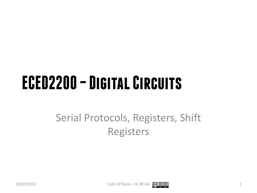## **ECED2200 –Digital Circuits**

#### Serial Protocols, Registers, Shift Registers



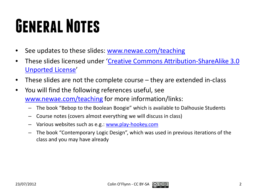## **General Notes**

- See updates to these slides: [www.newae.com/teaching](http://www.newae.com/teaching)
- These slides licensed under '[Creative Commons Attribution-ShareAlike](http://creativecommons.org/licenses/by-sa/3.0/) 3.0 [Unported](http://creativecommons.org/licenses/by-sa/3.0/) License'
- These slides are not the complete course they are extended in-class
- You will find the following references useful, see [www.newae.com/teaching](http://www.newae.com/teaching) for more information/links:
	- The book "Bebop to the Boolean Boogie" which is available to Dalhousie Students
	- Course notes (covers almost everything we will discuss in class)
	- Various websites such as e.g.: [www.play-hookey.com](http://www.play-hookey.com/)
	- The book "Contemporary Logic Design", which was used in previous iterations of the class and you may have already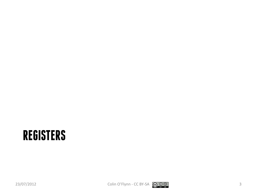#### **REGISTERS**

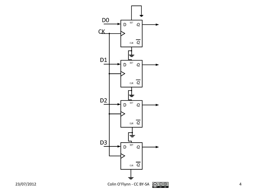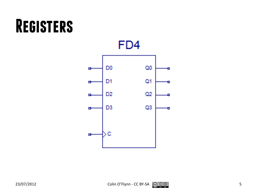### **Registers**

FD4

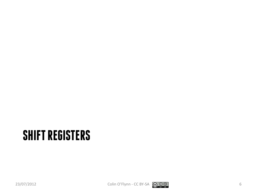#### **SHIFT REGISTERS**

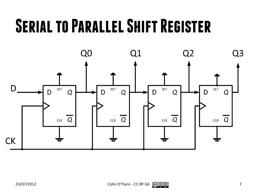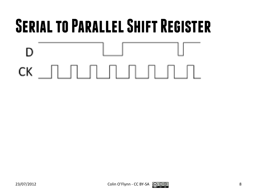

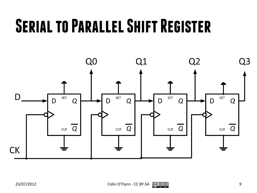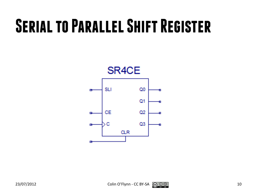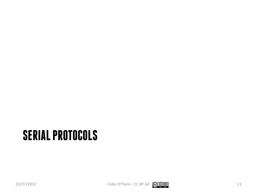### **SERIAL PROTOCOLS**

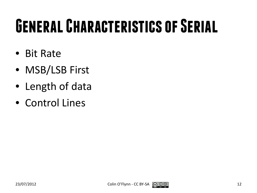## **General Characteristics of Serial**

- Bit Rate
- MSB/LSB First
- Length of data
- Control Lines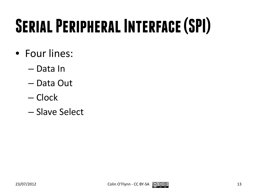# **Serial Peripheral Interface (SPI)**

- Four lines:
	- Data In
	- Data Out
	- Clock
	- Slave Select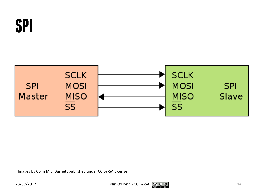



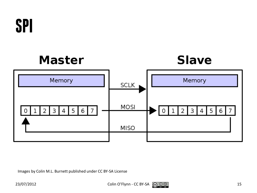

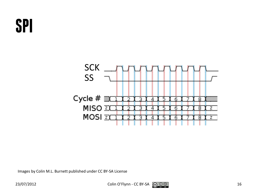### **SPI**

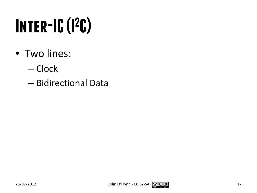# **Inter-IC (I2 C)**

- Two lines:
	- Clock
	- Bidirectional Data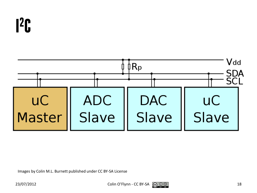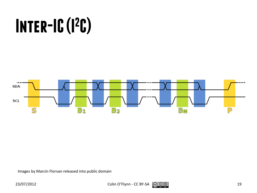## **Inter-IC (I2 C)**



Images by Marcin Florvan released into public domain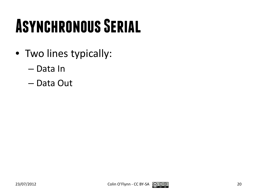## **Asynchronous Serial**

- Two lines typically:
	- Data In
	- Data Out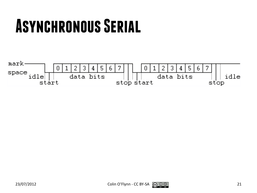### **Asynchronous Serial**



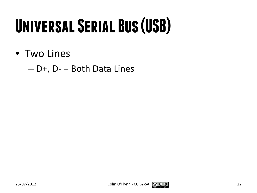## **Universal Serial Bus (USB)**

• Two Lines

 $- D+$ , D- = Both Data Lines